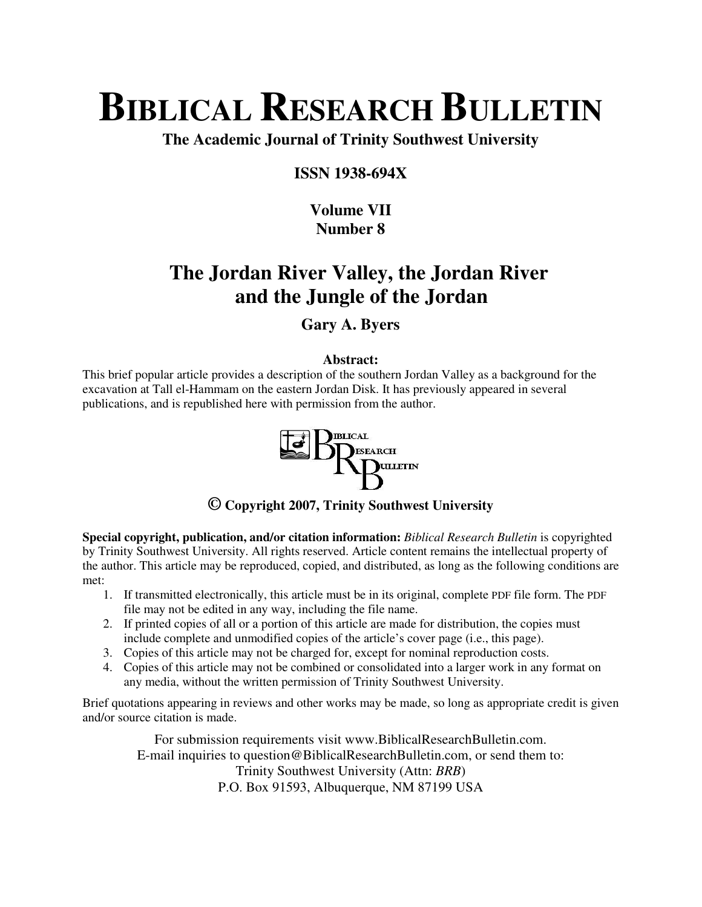# **BIBLICAL RESEARCH BULLETIN**

**The Academic Journal of Trinity Southwest University** 

#### **ISSN 1938-694X**

### **Volume VII Number 8**

## **The Jordan River Valley, the Jordan River and the Jungle of the Jordan**

#### **Gary A. Byers**

#### **Abstract:**

This brief popular article provides a description of the southern Jordan Valley as a background for the excavation at Tall el-Hammam on the eastern Jordan Disk. It has previously appeared in several publications, and is republished here with permission from the author.



#### **© Copyright 2007, Trinity Southwest University**

**Special copyright, publication, and/or citation information:** *Biblical Research Bulletin* is copyrighted by Trinity Southwest University. All rights reserved. Article content remains the intellectual property of the author. This article may be reproduced, copied, and distributed, as long as the following conditions are met:

- 1. If transmitted electronically, this article must be in its original, complete PDF file form. The PDF file may not be edited in any way, including the file name.
- 2. If printed copies of all or a portion of this article are made for distribution, the copies must include complete and unmodified copies of the article's cover page (i.e., this page).
- 3. Copies of this article may not be charged for, except for nominal reproduction costs.
- 4. Copies of this article may not be combined or consolidated into a larger work in any format on any media, without the written permission of Trinity Southwest University.

Brief quotations appearing in reviews and other works may be made, so long as appropriate credit is given and/or source citation is made.

For submission requirements visit www.BiblicalResearchBulletin.com. E-mail inquiries to question@BiblicalResearchBulletin.com, or send them to: Trinity Southwest University (Attn: *BRB*) P.O. Box 91593, Albuquerque, NM 87199 USA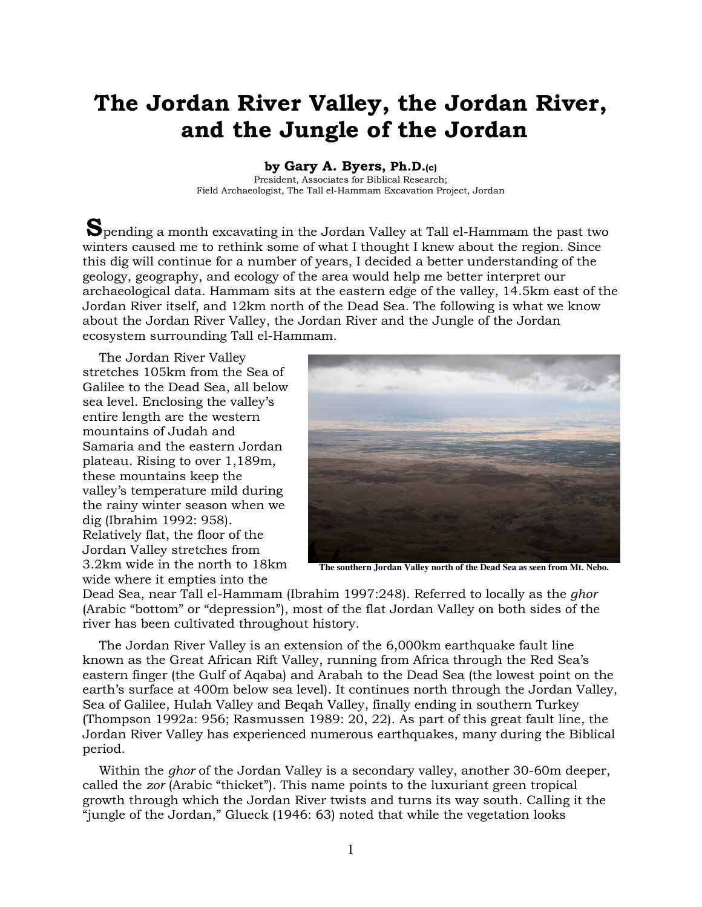## The Jordan River Valley, the Jordan River, and the Jungle of the Jordan

by Gary A. Byers, Ph.D.(c)

President, Associates for Biblical Research; Field Archaeologist, The Tall el-Hammam Excavation Project, Jordan

Spending a month excavating in the Jordan Valley at Tall el-Hammam the past two winters caused me to rethink some of what I thought I knew about the region. Since this dig will continue for a number of years, I decided a better understanding of the geology, geography, and ecology of the area would help me better interpret our archaeological data. Hammam sits at the eastern edge of the valley, 14.5km east of the Jordan River itself, and 12km north of the Dead Sea. The following is what we know about the Jordan River Valley, the Jordan River and the Jungle of the Jordan ecosystem surrounding Tall el-Hammam.

The Jordan River Valley stretches 105km from the Sea of Galilee to the Dead Sea, all below sea level. Enclosing the valley's entire length are the western mountains of Judah and Samaria and the eastern Jordan plateau. Rising to over 1,189m, these mountains keep the valley's temperature mild during the rainy winter season when we dig (Ibrahim 1992: 958). Relatively flat, the floor of the Jordan Valley stretches from 3.2km wide in the north to 18km wide where it empties into the



**The southern Jordan Valley north of the Dead Sea as seen from Mt. Nebo.** 

Dead Sea, near Tall el-Hammam (Ibrahim 1997:248). Referred to locally as the ghor (Arabic "bottom" or "depression"), most of the flat Jordan Valley on both sides of the river has been cultivated throughout history.

The Jordan River Valley is an extension of the 6,000km earthquake fault line known as the Great African Rift Valley, running from Africa through the Red Sea's eastern finger (the Gulf of Aqaba) and Arabah to the Dead Sea (the lowest point on the earth's surface at 400m below sea level). It continues north through the Jordan Valley, Sea of Galilee, Hulah Valley and Beqah Valley, finally ending in southern Turkey (Thompson 1992a: 956; Rasmussen 1989: 20, 22). As part of this great fault line, the Jordan River Valley has experienced numerous earthquakes, many during the Biblical period.

Within the *ghor* of the Jordan Valley is a secondary valley, another 30-60m deeper, called the zor (Arabic "thicket"). This name points to the luxuriant green tropical growth through which the Jordan River twists and turns its way south. Calling it the "jungle of the Jordan," Glueck (1946: 63) noted that while the vegetation looks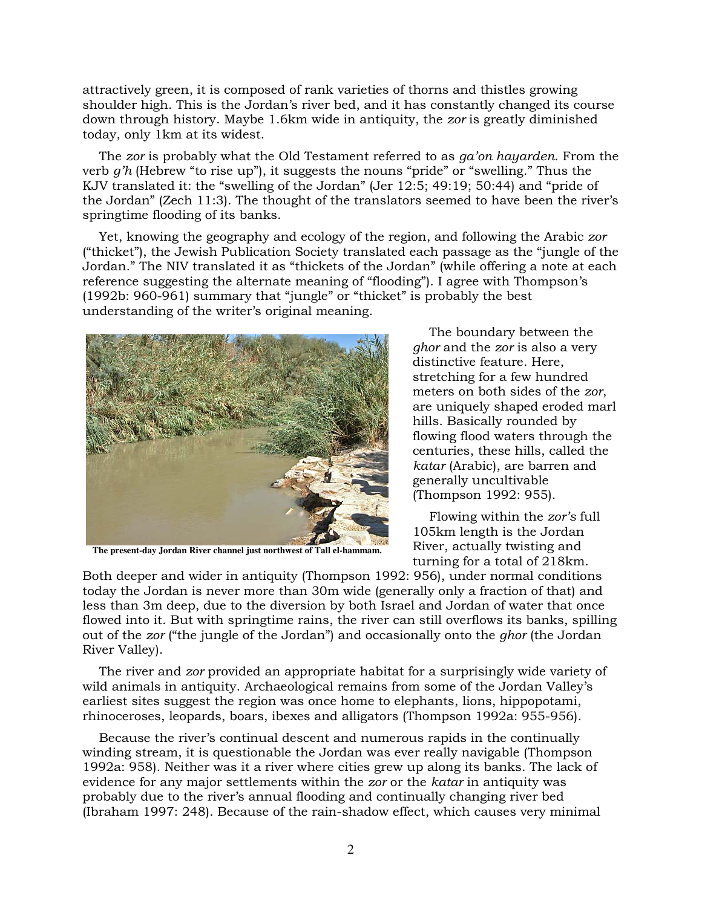attractively green, it is composed of rank varieties of thorns and thistles growing shoulder high. This is the Jordan's river bed, and it has constantly changed its course down through history. Maybe 1.6km wide in antiquity, the zor is greatly diminished today, only 1km at its widest.

The zor is probably what the Old Testament referred to as ga'on hayarden. From the verb g'h (Hebrew "to rise up"), it suggests the nouns "pride" or "swelling." Thus the KJV translated it: the "swelling of the Jordan" (Jer 12:5; 49:19; 50:44) and "pride of the Jordan" (Zech 11:3). The thought of the translators seemed to have been the river's springtime flooding of its banks.

Yet, knowing the geography and ecology of the region, and following the Arabic zor ("thicket"), the Jewish Publication Society translated each passage as the "jungle of the Jordan." The NIV translated it as "thickets of the Jordan" (while offering a note at each reference suggesting the alternate meaning of "flooding"). I agree with Thompson's (1992b: 960-961) summary that "jungle" or "thicket" is probably the best understanding of the writer's original meaning.



**The present-day Jordan River channel just northwest of Tall el-hammam.** 

The boundary between the ghor and the zor is also a very distinctive feature. Here, stretching for a few hundred meters on both sides of the zor, are uniquely shaped eroded marl hills. Basically rounded by flowing flood waters through the centuries, these hills, called the katar (Arabic), are barren and generally uncultivable (Thompson 1992: 955).

Flowing within the zor's full 105km length is the Jordan River, actually twisting and turning for a total of 218km.

Both deeper and wider in antiquity (Thompson 1992: 956), under normal conditions today the Jordan is never more than 30m wide (generally only a fraction of that) and less than 3m deep, due to the diversion by both Israel and Jordan of water that once flowed into it. But with springtime rains, the river can still overflows its banks, spilling out of the zor ("the jungle of the Jordan") and occasionally onto the *ghor* (the Jordan River Valley).

The river and zor provided an appropriate habitat for a surprisingly wide variety of wild animals in antiquity. Archaeological remains from some of the Jordan Valley's earliest sites suggest the region was once home to elephants, lions, hippopotami, rhinoceroses, leopards, boars, ibexes and alligators (Thompson 1992a: 955-956).

Because the river's continual descent and numerous rapids in the continually winding stream, it is questionable the Jordan was ever really navigable (Thompson 1992a: 958). Neither was it a river where cities grew up along its banks. The lack of evidence for any major settlements within the zor or the katar in antiquity was probably due to the river's annual flooding and continually changing river bed (Ibraham 1997: 248). Because of the rain-shadow effect, which causes very minimal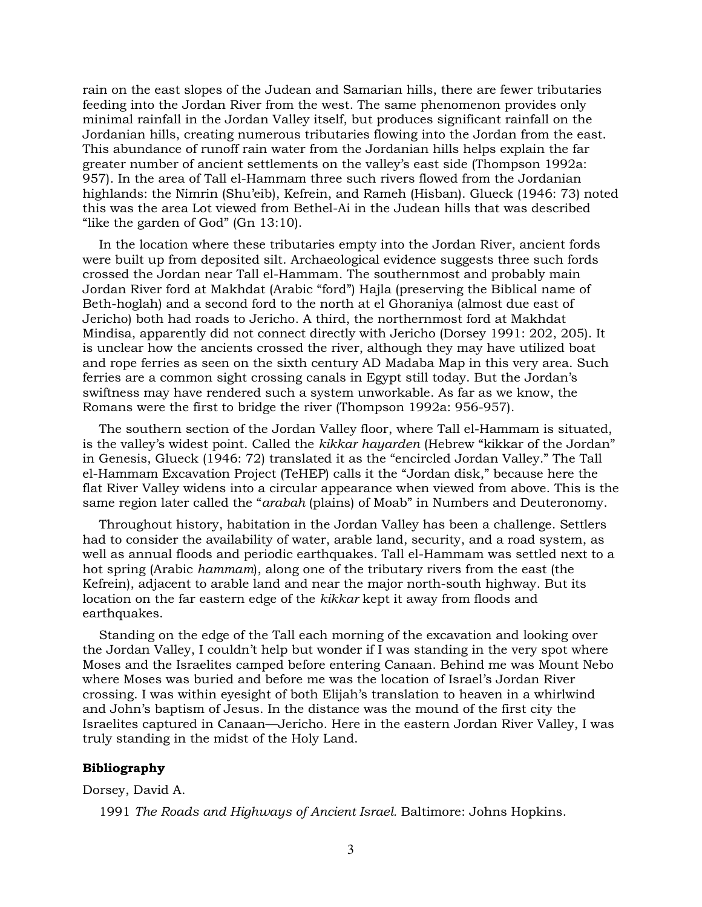rain on the east slopes of the Judean and Samarian hills, there are fewer tributaries feeding into the Jordan River from the west. The same phenomenon provides only minimal rainfall in the Jordan Valley itself, but produces significant rainfall on the Jordanian hills, creating numerous tributaries flowing into the Jordan from the east. This abundance of runoff rain water from the Jordanian hills helps explain the far greater number of ancient settlements on the valley's east side (Thompson 1992a: 957). In the area of Tall el-Hammam three such rivers flowed from the Jordanian highlands: the Nimrin (Shu'eib), Kefrein, and Rameh (Hisban). Glueck (1946: 73) noted this was the area Lot viewed from Bethel-Ai in the Judean hills that was described "like the garden of God" (Gn 13:10).

In the location where these tributaries empty into the Jordan River, ancient fords were built up from deposited silt. Archaeological evidence suggests three such fords crossed the Jordan near Tall el-Hammam. The southernmost and probably main Jordan River ford at Makhdat (Arabic "ford") Hajla (preserving the Biblical name of Beth-hoglah) and a second ford to the north at el Ghoraniya (almost due east of Jericho) both had roads to Jericho. A third, the northernmost ford at Makhdat Mindisa, apparently did not connect directly with Jericho (Dorsey 1991: 202, 205). It is unclear how the ancients crossed the river, although they may have utilized boat and rope ferries as seen on the sixth century AD Madaba Map in this very area. Such ferries are a common sight crossing canals in Egypt still today. But the Jordan's swiftness may have rendered such a system unworkable. As far as we know, the Romans were the first to bridge the river (Thompson 1992a: 956-957).

The southern section of the Jordan Valley floor, where Tall el-Hammam is situated, is the valley's widest point. Called the kikkar hayarden (Hebrew "kikkar of the Jordan" in Genesis, Glueck (1946: 72) translated it as the "encircled Jordan Valley." The Tall el-Hammam Excavation Project (TeHEP) calls it the "Jordan disk," because here the flat River Valley widens into a circular appearance when viewed from above. This is the same region later called the "arabah (plains) of Moab" in Numbers and Deuteronomy.

Throughout history, habitation in the Jordan Valley has been a challenge. Settlers had to consider the availability of water, arable land, security, and a road system, as well as annual floods and periodic earthquakes. Tall el-Hammam was settled next to a hot spring (Arabic hammam), along one of the tributary rivers from the east (the Kefrein), adjacent to arable land and near the major north-south highway. But its location on the far eastern edge of the kikkar kept it away from floods and earthquakes.

Standing on the edge of the Tall each morning of the excavation and looking over the Jordan Valley, I couldn't help but wonder if I was standing in the very spot where Moses and the Israelites camped before entering Canaan. Behind me was Mount Nebo where Moses was buried and before me was the location of Israel's Jordan River crossing. I was within eyesight of both Elijah's translation to heaven in a whirlwind and John's baptism of Jesus. In the distance was the mound of the first city the Israelites captured in Canaan—Jericho. Here in the eastern Jordan River Valley, I was truly standing in the midst of the Holy Land.

#### Bibliography

Dorsey, David A.

1991 The Roads and Highways of Ancient Israel. Baltimore: Johns Hopkins.